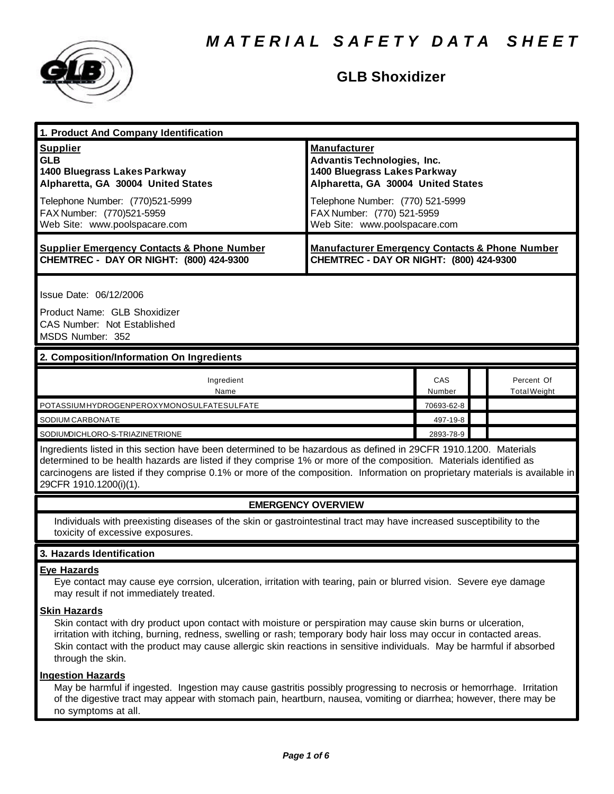

## **GLB Shoxidizer**

| 1. Product And Company Identification                 |                                                           |
|-------------------------------------------------------|-----------------------------------------------------------|
| <b>Supplier</b>                                       | <b>Manufacturer</b>                                       |
| <b>GLB</b>                                            | Advantis Technologies, Inc.                               |
| 1400 Bluegrass Lakes Parkway                          | 1400 Bluegrass Lakes Parkway                              |
| Alpharetta, GA 30004 United States                    | Alpharetta, GA 30004 United States                        |
| Telephone Number: (770)521-5999                       | Telephone Number: (770) 521-5999                          |
| FAX Number: (770)521-5959                             | FAX Number: (770) 521-5959                                |
| Web Site: www.poolspacare.com                         | Web Site: www.poolspacare.com                             |
| <b>Supplier Emergency Contacts &amp; Phone Number</b> | <b>Manufacturer Emergency Contacts &amp; Phone Number</b> |
| <b>CHEMTREC - DAY OR NIGHT: (800) 424-9300</b>        | CHEMTREC - DAY OR NIGHT: (800) 424-9300                   |
| Issue Date: 06/12/2006                                |                                                           |

Product Name: GLB Shoxidizer CAS Number: Not Established MSDS Number: 352

## **2. Composition/Information On Ingredients**

| Ingredient<br>Name                        | CAS<br>Number | Percent Of<br>Total Weight |
|-------------------------------------------|---------------|----------------------------|
| POTASSIUMHYDROGENPEROXYMONOSULFATESULFATE | 70693-62-8    |                            |
| SODIUM CARBONATE                          | 497-19-8      |                            |
| SODIUMDICHLORO-S-TRIAZINETRIONE           | 2893-78-9     |                            |

Ingredients listed in this section have been determined to be hazardous as defined in 29CFR 1910.1200. Materials determined to be health hazards are listed if they comprise 1% or more of the composition. Materials identified as carcinogens are listed if they comprise 0.1% or more of the composition. Information on proprietary materials is available in 29CFR 1910.1200(i)(1).

## **EMERGENCY OVERVIEW**

Individuals with preexisting diseases of the skin or gastrointestinal tract may have increased susceptibility to the toxicity of excessive exposures.

## **3. Hazards Identification**

## **Eye Hazards**

Eye contact may cause eye corrsion, ulceration, irritation with tearing, pain or blurred vision. Severe eye damage may result if not immediately treated.

## **Skin Hazards**

Skin contact with dry product upon contact with moisture or perspiration may cause skin burns or ulceration, irritation with itching, burning, redness, swelling or rash; temporary body hair loss may occur in contacted areas. Skin contact with the product may cause allergic skin reactions in sensitive individuals. May be harmful if absorbed through the skin.

## **Ingestion Hazards**

May be harmful if ingested. Ingestion may cause gastritis possibly progressing to necrosis or hemorrhage. Irritation of the digestive tract may appear with stomach pain, heartburn, nausea, vomiting or diarrhea; however, there may be no symptoms at all.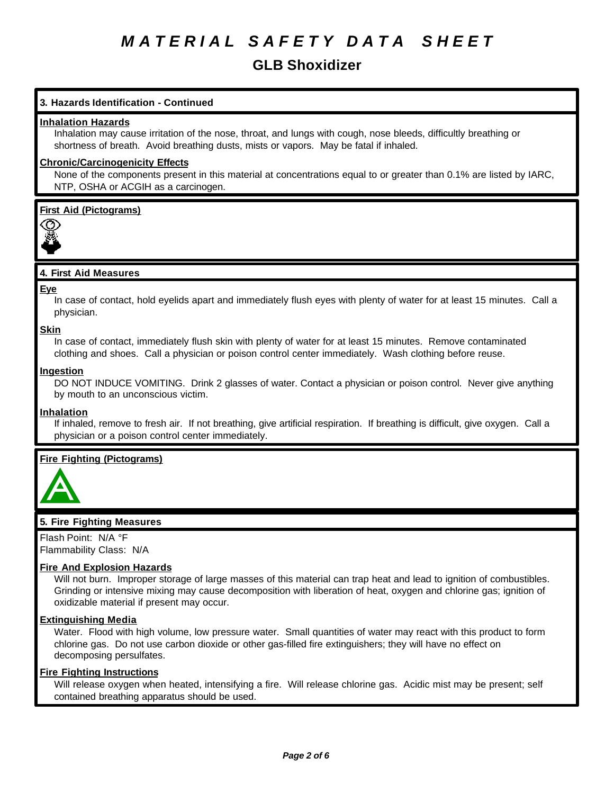## **GLB Shoxidizer**

## **3. Hazards Identification - Continued**

#### **Inhalation Hazards**

Inhalation may cause irritation of the nose, throat, and lungs with cough, nose bleeds, difficultly breathing or shortness of breath. Avoid breathing dusts, mists or vapors. May be fatal if inhaled.

## **Chronic/Carcinogenicity Effects**

None of the components present in this material at concentrations equal to or greater than 0.1% are listed by IARC, NTP, OSHA or ACGIH as a carcinogen.

**First Aid (Pictograms)**



#### **4. First Aid Measures**

**Eye**

In case of contact, hold eyelids apart and immediately flush eyes with plenty of water for at least 15 minutes. Call a physician.

**Skin**

In case of contact, immediately flush skin with plenty of water for at least 15 minutes. Remove contaminated clothing and shoes. Call a physician or poison control center immediately. Wash clothing before reuse.

## **Ingestion**

DO NOT INDUCE VOMITING. Drink 2 glasses of water. Contact a physician or poison control. Never give anything by mouth to an unconscious victim.

#### **Inhalation**

If inhaled, remove to fresh air. If not breathing, give artificial respiration. If breathing is difficult, give oxygen. Call a physician or a poison control center immediately.

## **Fire Fighting (Pictograms)**



## **5. Fire Fighting Measures**

Flash Point: N/A °F Flammability Class: N/A

## **Fire And Explosion Hazards**

Will not burn. Improper storage of large masses of this material can trap heat and lead to ignition of combustibles. Grinding or intensive mixing may cause decomposition with liberation of heat, oxygen and chlorine gas; ignition of oxidizable material if present may occur.

#### **Extinguishing Media**

Water. Flood with high volume, low pressure water. Small quantities of water may react with this product to form chlorine gas. Do not use carbon dioxide or other gas-filled fire extinguishers; they will have no effect on decomposing persulfates.

#### **Fire Fighting Instructions**

Will release oxygen when heated, intensifying a fire. Will release chlorine gas. Acidic mist may be present; self contained breathing apparatus should be used.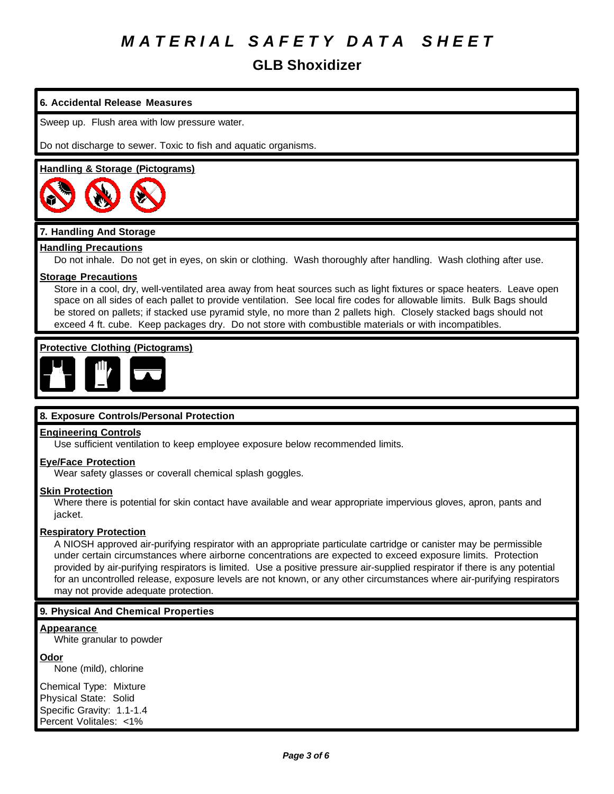**GLB Shoxidizer**

## **6. Accidental Release Measures**

Sweep up. Flush area with low pressure water.

Do not discharge to sewer. Toxic to fish and aquatic organisms.

#### **Handling & Storage (Pictograms)**



## **7. Handling And Storage**

#### **Handling Precautions**

Do not inhale. Do not get in eyes, on skin or clothing. Wash thoroughly after handling. Wash clothing after use.

#### **Storage Precautions**

Store in a cool, dry, well-ventilated area away from heat sources such as light fixtures or space heaters. Leave open space on all sides of each pallet to provide ventilation. See local fire codes for allowable limits. Bulk Bags should be stored on pallets; if stacked use pyramid style, no more than 2 pallets high. Closely stacked bags should not exceed 4 ft. cube. Keep packages dry. Do not store with combustible materials or with incompatibles.

#### **Protective Clothing (Pictograms)**



## **8. Exposure Controls/Personal Protection**

#### **Engineering Controls**

Use sufficient ventilation to keep employee exposure below recommended limits.

#### **Eye/Face Protection**

Wear safety glasses or coverall chemical splash goggles.

#### **Skin Protection**

Where there is potential for skin contact have available and wear appropriate impervious gloves, apron, pants and jacket.

#### **Respiratory Protection**

A NIOSH approved air-purifying respirator with an appropriate particulate cartridge or canister may be permissible under certain circumstances where airborne concentrations are expected to exceed exposure limits. Protection provided by air-purifying respirators is limited. Use a positive pressure air-supplied respirator if there is any potential for an uncontrolled release, exposure levels are not known, or any other circumstances where air-purifying respirators may not provide adequate protection.

## **9. Physical And Chemical Properties**

#### **Appearance** White granular to powder

**Odor**

None (mild), chlorine

Chemical Type: Mixture Physical State: Solid Specific Gravity: 1.1-1.4 Percent Volitales: <1%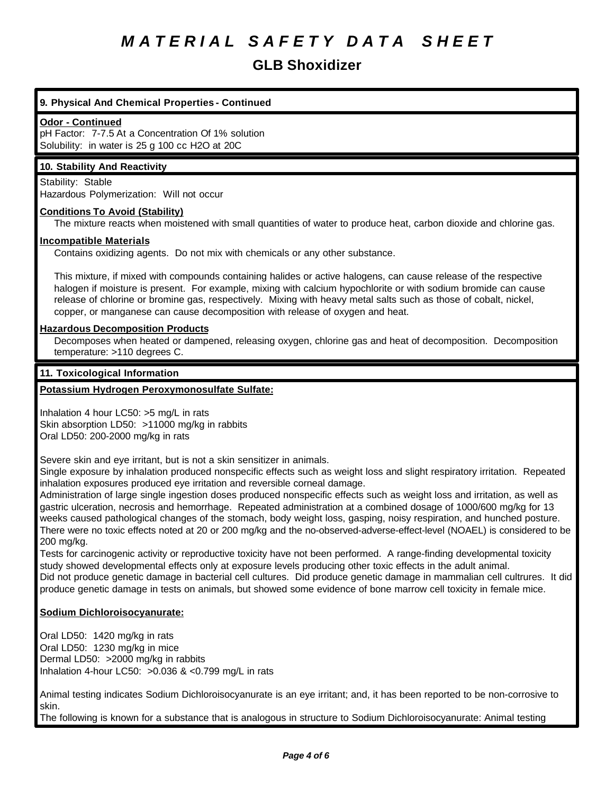## **GLB Shoxidizer**

## **9. Physical And Chemical Properties - Continued**

#### **Odor - Continued**

pH Factor: 7-7.5 At a Concentration Of 1% solution Solubility: in water is 25 g 100 cc H2O at 20C

## **10. Stability And Reactivity**

Stability: Stable Hazardous Polymerization: Will not occur

#### **Conditions To Avoid (Stability)**

The mixture reacts when moistened with small quantities of water to produce heat, carbon dioxide and chlorine gas.

#### **Incompatible Materials**

Contains oxidizing agents. Do not mix with chemicals or any other substance.

This mixture, if mixed with compounds containing halides or active halogens, can cause release of the respective halogen if moisture is present. For example, mixing with calcium hypochlorite or with sodium bromide can cause release of chlorine or bromine gas, respectively. Mixing with heavy metal salts such as those of cobalt, nickel, copper, or manganese can cause decomposition with release of oxygen and heat.

#### **Hazardous Decomposition Products**

Decomposes when heated or dampened, releasing oxygen, chlorine gas and heat of decomposition. Decomposition temperature: >110 degrees C.

## **11. Toxicological Information**

## **Potassium Hydrogen Peroxymonosulfate Sulfate:**

Inhalation 4 hour LC50: >5 mg/L in rats Skin absorption LD50: >11000 mg/kg in rabbits Oral LD50: 200-2000 mg/kg in rats

Severe skin and eye irritant, but is not a skin sensitizer in animals.

Single exposure by inhalation produced nonspecific effects such as weight loss and slight respiratory irritation. Repeated inhalation exposures produced eye irritation and reversible corneal damage.

Administration of large single ingestion doses produced nonspecific effects such as weight loss and irritation, as well as gastric ulceration, necrosis and hemorrhage. Repeated administration at a combined dosage of 1000/600 mg/kg for 13 weeks caused pathological changes of the stomach, body weight loss, gasping, noisy respiration, and hunched posture. There were no toxic effects noted at 20 or 200 mg/kg and the no-observed-adverse-effect-level (NOAEL) is considered to be 200 mg/kg.

Tests for carcinogenic activity or reproductive toxicity have not been performed. A range-finding developmental toxicity study showed developmental effects only at exposure levels producing other toxic effects in the adult animal. Did not produce genetic damage in bacterial cell cultures. Did produce genetic damage in mammalian cell cultrures. It did produce genetic damage in tests on animals, but showed some evidence of bone marrow cell toxicity in female mice.

## **Sodium Dichloroisocyanurate:**

Oral LD50: 1420 mg/kg in rats Oral LD50: 1230 mg/kg in mice Dermal LD50: >2000 mg/kg in rabbits Inhalation 4-hour LC50: >0.036 & <0.799 mg/L in rats

Animal testing indicates Sodium Dichloroisocyanurate is an eye irritant; and, it has been reported to be non-corrosive to skin.

The following is known for a substance that is analogous in structure to Sodium Dichloroisocyanurate: Animal testing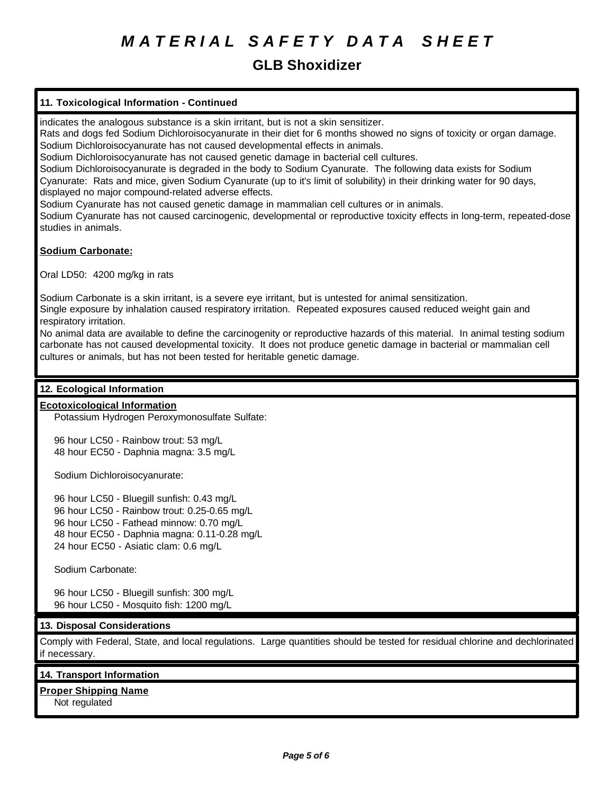## **GLB Shoxidizer**

## **11. Toxicological Information - Continued**

indicates the analogous substance is a skin irritant, but is not a skin sensitizer.

Rats and dogs fed Sodium Dichloroisocyanurate in their diet for 6 months showed no signs of toxicity or organ damage. Sodium Dichloroisocyanurate has not caused developmental effects in animals.

Sodium Dichloroisocyanurate has not caused genetic damage in bacterial cell cultures.

Sodium Dichloroisocyanurate is degraded in the body to Sodium Cyanurate. The following data exists for Sodium Cyanurate: Rats and mice, given Sodium Cyanurate (up to it's limit of solubility) in their drinking water for 90 days, displayed no major compound-related adverse effects.

Sodium Cyanurate has not caused genetic damage in mammalian cell cultures or in animals.

Sodium Cyanurate has not caused carcinogenic, developmental or reproductive toxicity effects in long-term, repeated-dose studies in animals.

## **Sodium Carbonate:**

Oral LD50: 4200 mg/kg in rats

Sodium Carbonate is a skin irritant, is a severe eye irritant, but is untested for animal sensitization.

Single exposure by inhalation caused respiratory irritation. Repeated exposures caused reduced weight gain and respiratory irritation.

No animal data are available to define the carcinogenity or reproductive hazards of this material. In animal testing sodium carbonate has not caused developmental toxicity. It does not produce genetic damage in bacterial or mammalian cell cultures or animals, but has not been tested for heritable genetic damage.

## **12. Ecological Information**

## **Ecotoxicological Information**

Potassium Hydrogen Peroxymonosulfate Sulfate:

96 hour LC50 - Rainbow trout: 53 mg/L 48 hour EC50 - Daphnia magna: 3.5 mg/L

Sodium Dichloroisocyanurate:

96 hour LC50 - Bluegill sunfish: 0.43 mg/L 96 hour LC50 - Rainbow trout: 0.25-0.65 mg/L 96 hour LC50 - Fathead minnow: 0.70 mg/L 48 hour EC50 - Daphnia magna: 0.11-0.28 mg/L 24 hour EC50 - Asiatic clam: 0.6 mg/L

Sodium Carbonate:

96 hour LC50 - Bluegill sunfish: 300 mg/L 96 hour LC50 - Mosquito fish: 1200 mg/L

## **13. Disposal Considerations**

Comply with Federal, State, and local regulations. Large quantities should be tested for residual chlorine and dechlorinated if necessary.

## **14. Transport Information**

**Proper Shipping Name**

Not regulated